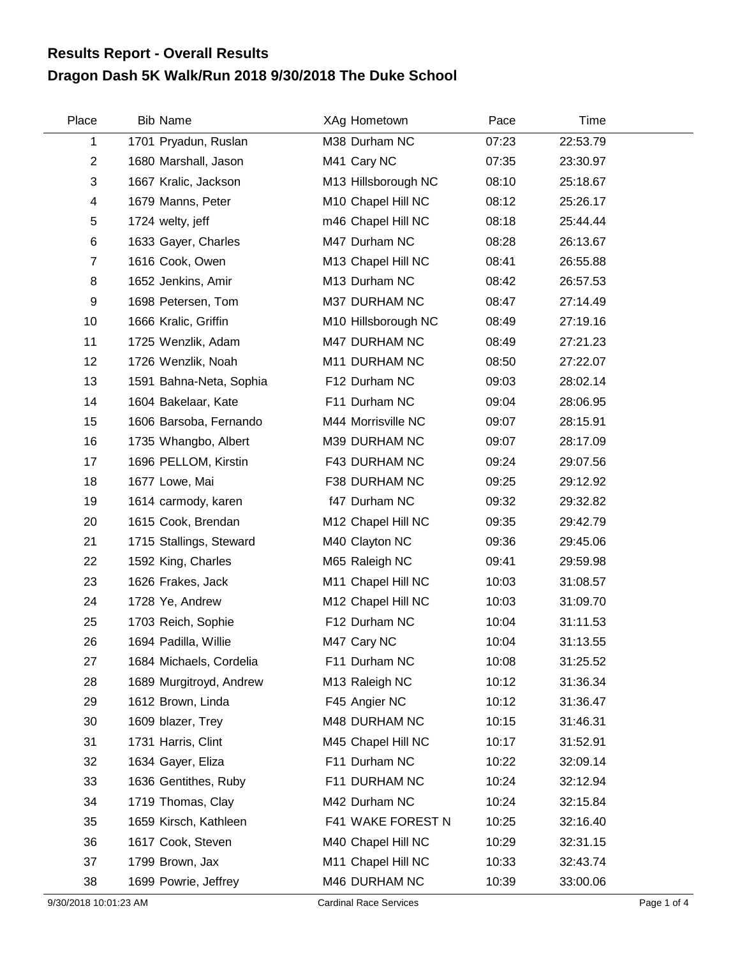## **Dragon Dash 5K Walk/Run 2018 9/30/2018 The Duke School Results Report - Overall Results**

| Place          | <b>Bib Name</b>         | XAg Hometown        | Pace  | <b>Time</b> |  |
|----------------|-------------------------|---------------------|-------|-------------|--|
| 1              | 1701 Pryadun, Ruslan    | M38 Durham NC       | 07:23 | 22:53.79    |  |
| $\overline{2}$ | 1680 Marshall, Jason    | M41 Cary NC         | 07:35 | 23:30.97    |  |
| 3              | 1667 Kralic, Jackson    | M13 Hillsborough NC | 08:10 | 25:18.67    |  |
| 4              | 1679 Manns, Peter       | M10 Chapel Hill NC  | 08:12 | 25:26.17    |  |
| $\mathbf 5$    | 1724 welty, jeff        | m46 Chapel Hill NC  | 08:18 | 25:44.44    |  |
| $\,6$          | 1633 Gayer, Charles     | M47 Durham NC       | 08:28 | 26:13.67    |  |
| $\overline{7}$ | 1616 Cook, Owen         | M13 Chapel Hill NC  | 08:41 | 26:55.88    |  |
| 8              | 1652 Jenkins, Amir      | M13 Durham NC       | 08:42 | 26:57.53    |  |
| 9              | 1698 Petersen, Tom      | M37 DURHAM NC       | 08:47 | 27:14.49    |  |
| 10             | 1666 Kralic, Griffin    | M10 Hillsborough NC | 08:49 | 27:19.16    |  |
| 11             | 1725 Wenzlik, Adam      | M47 DURHAM NC       | 08:49 | 27:21.23    |  |
| 12             | 1726 Wenzlik, Noah      | M11 DURHAM NC       | 08:50 | 27:22.07    |  |
| 13             | 1591 Bahna-Neta, Sophia | F12 Durham NC       | 09:03 | 28:02.14    |  |
| 14             | 1604 Bakelaar, Kate     | F11 Durham NC       | 09:04 | 28:06.95    |  |
| 15             | 1606 Barsoba, Fernando  | M44 Morrisville NC  | 09:07 | 28:15.91    |  |
| 16             | 1735 Whangbo, Albert    | M39 DURHAM NC       | 09:07 | 28:17.09    |  |
| 17             | 1696 PELLOM, Kirstin    | F43 DURHAM NC       | 09:24 | 29:07.56    |  |
| 18             | 1677 Lowe, Mai          | F38 DURHAM NC       | 09:25 | 29:12.92    |  |
| 19             | 1614 carmody, karen     | f47 Durham NC       | 09:32 | 29:32.82    |  |
| 20             | 1615 Cook, Brendan      | M12 Chapel Hill NC  | 09:35 | 29:42.79    |  |
| 21             | 1715 Stallings, Steward | M40 Clayton NC      | 09:36 | 29:45.06    |  |
| 22             | 1592 King, Charles      | M65 Raleigh NC      | 09:41 | 29:59.98    |  |
| 23             | 1626 Frakes, Jack       | M11 Chapel Hill NC  | 10:03 | 31:08.57    |  |
| 24             | 1728 Ye, Andrew         | M12 Chapel Hill NC  | 10:03 | 31:09.70    |  |
| 25             | 1703 Reich, Sophie      | F12 Durham NC       | 10:04 | 31:11.53    |  |
| 26             | 1694 Padilla, Willie    | M47 Cary NC         | 10:04 | 31:13.55    |  |
| 27             | 1684 Michaels, Cordelia | F11 Durham NC       | 10:08 | 31:25.52    |  |
| 28             | 1689 Murgitroyd, Andrew | M13 Raleigh NC      | 10:12 | 31:36.34    |  |
| 29             | 1612 Brown, Linda       | F45 Angier NC       | 10:12 | 31:36.47    |  |
| 30             | 1609 blazer, Trey       | M48 DURHAM NC       | 10:15 | 31:46.31    |  |
| 31             | 1731 Harris, Clint      | M45 Chapel Hill NC  | 10:17 | 31:52.91    |  |
| 32             | 1634 Gayer, Eliza       | F11 Durham NC       | 10:22 | 32:09.14    |  |
| 33             | 1636 Gentithes, Ruby    | F11 DURHAM NC       | 10:24 | 32:12.94    |  |
| 34             | 1719 Thomas, Clay       | M42 Durham NC       | 10:24 | 32:15.84    |  |
| 35             | 1659 Kirsch, Kathleen   | F41 WAKE FOREST N   | 10:25 | 32:16.40    |  |
| 36             | 1617 Cook, Steven       | M40 Chapel Hill NC  | 10:29 | 32:31.15    |  |
| 37             | 1799 Brown, Jax         | M11 Chapel Hill NC  | 10:33 | 32:43.74    |  |
| 38             | 1699 Powrie, Jeffrey    | M46 DURHAM NC       | 10:39 | 33:00.06    |  |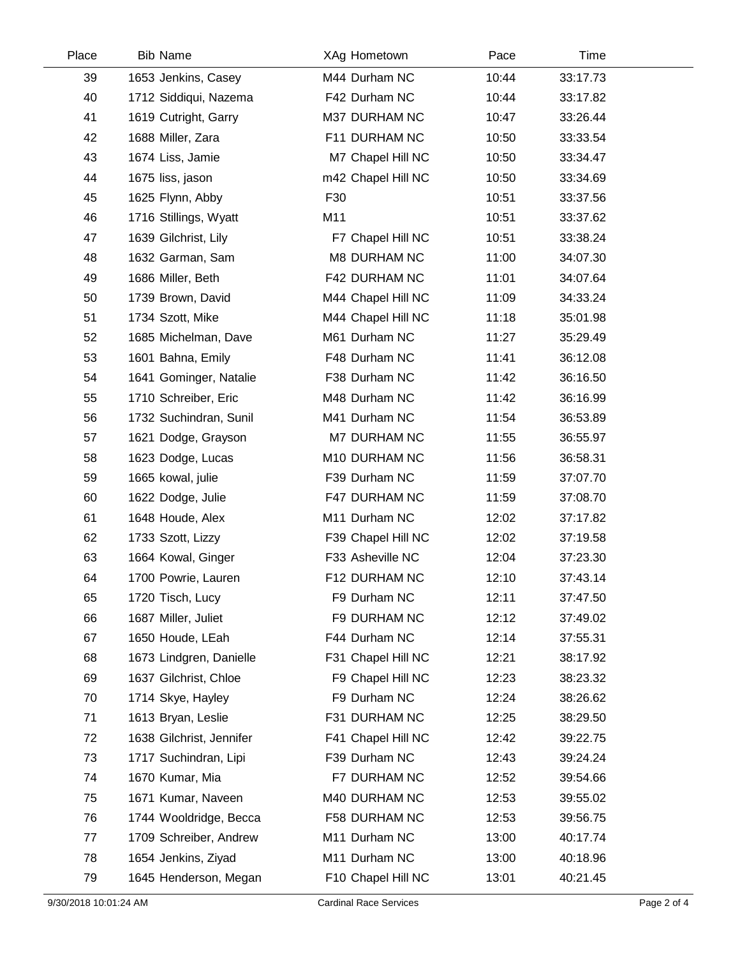| Place | <b>Bib Name</b>          | XAg Hometown        | Pace  | Time     |  |
|-------|--------------------------|---------------------|-------|----------|--|
| 39    | 1653 Jenkins, Casey      | M44 Durham NC       | 10:44 | 33:17.73 |  |
| 40    | 1712 Siddiqui, Nazema    | F42 Durham NC       | 10:44 | 33:17.82 |  |
| 41    | 1619 Cutright, Garry     | M37 DURHAM NC       | 10:47 | 33:26.44 |  |
| 42    | 1688 Miller, Zara        | F11 DURHAM NC       | 10:50 | 33:33.54 |  |
| 43    | 1674 Liss, Jamie         | M7 Chapel Hill NC   | 10:50 | 33:34.47 |  |
| 44    | 1675 liss, jason         | m42 Chapel Hill NC  | 10:50 | 33:34.69 |  |
| 45    | 1625 Flynn, Abby         | F30                 | 10:51 | 33:37.56 |  |
| 46    | 1716 Stillings, Wyatt    | M11                 | 10:51 | 33:37.62 |  |
| 47    | 1639 Gilchrist, Lily     | F7 Chapel Hill NC   | 10:51 | 33:38.24 |  |
| 48    | 1632 Garman, Sam         | <b>M8 DURHAM NC</b> | 11:00 | 34:07.30 |  |
| 49    | 1686 Miller, Beth        | F42 DURHAM NC       | 11:01 | 34:07.64 |  |
| 50    | 1739 Brown, David        | M44 Chapel Hill NC  | 11:09 | 34:33.24 |  |
| 51    | 1734 Szott, Mike         | M44 Chapel Hill NC  | 11:18 | 35:01.98 |  |
| 52    | 1685 Michelman, Dave     | M61 Durham NC       | 11:27 | 35:29.49 |  |
| 53    | 1601 Bahna, Emily        | F48 Durham NC       | 11:41 | 36:12.08 |  |
| 54    | 1641 Gominger, Natalie   | F38 Durham NC       | 11:42 | 36:16.50 |  |
| 55    | 1710 Schreiber, Eric     | M48 Durham NC       | 11:42 | 36:16.99 |  |
| 56    | 1732 Suchindran, Sunil   | M41 Durham NC       | 11:54 | 36:53.89 |  |
| 57    | 1621 Dodge, Grayson      | M7 DURHAM NC        | 11:55 | 36:55.97 |  |
| 58    | 1623 Dodge, Lucas        | M10 DURHAM NC       | 11:56 | 36:58.31 |  |
| 59    | 1665 kowal, julie        | F39 Durham NC       | 11:59 | 37:07.70 |  |
| 60    | 1622 Dodge, Julie        | F47 DURHAM NC       | 11:59 | 37:08.70 |  |
| 61    | 1648 Houde, Alex         | M11 Durham NC       | 12:02 | 37:17.82 |  |
| 62    | 1733 Szott, Lizzy        | F39 Chapel Hill NC  | 12:02 | 37:19.58 |  |
| 63    | 1664 Kowal, Ginger       | F33 Asheville NC    | 12:04 | 37:23.30 |  |
| 64    | 1700 Powrie, Lauren      | F12 DURHAM NC       | 12:10 | 37:43.14 |  |
| 65    | 1720 Tisch, Lucy         | F9 Durham NC        | 12:11 | 37:47.50 |  |
| 66    | 1687 Miller, Juliet      | F9 DURHAM NC        | 12:12 | 37:49.02 |  |
| 67    | 1650 Houde, LEah         | F44 Durham NC       | 12:14 | 37:55.31 |  |
| 68    | 1673 Lindgren, Danielle  | F31 Chapel Hill NC  | 12:21 | 38:17.92 |  |
| 69    | 1637 Gilchrist, Chloe    | F9 Chapel Hill NC   | 12:23 | 38:23.32 |  |
| 70    | 1714 Skye, Hayley        | F9 Durham NC        | 12:24 | 38:26.62 |  |
| 71    | 1613 Bryan, Leslie       | F31 DURHAM NC       | 12:25 | 38:29.50 |  |
| 72    | 1638 Gilchrist, Jennifer | F41 Chapel Hill NC  | 12:42 | 39:22.75 |  |
| 73    | 1717 Suchindran, Lipi    | F39 Durham NC       | 12:43 | 39:24.24 |  |
| 74    | 1670 Kumar, Mia          | F7 DURHAM NC        | 12:52 | 39:54.66 |  |
| 75    | 1671 Kumar, Naveen       | M40 DURHAM NC       | 12:53 | 39:55.02 |  |
| 76    | 1744 Wooldridge, Becca   | F58 DURHAM NC       | 12:53 | 39:56.75 |  |
| 77    | 1709 Schreiber, Andrew   | M11 Durham NC       | 13:00 | 40:17.74 |  |
| 78    | 1654 Jenkins, Ziyad      | M11 Durham NC       | 13:00 | 40:18.96 |  |
| 79    | 1645 Henderson, Megan    | F10 Chapel Hill NC  | 13:01 | 40:21.45 |  |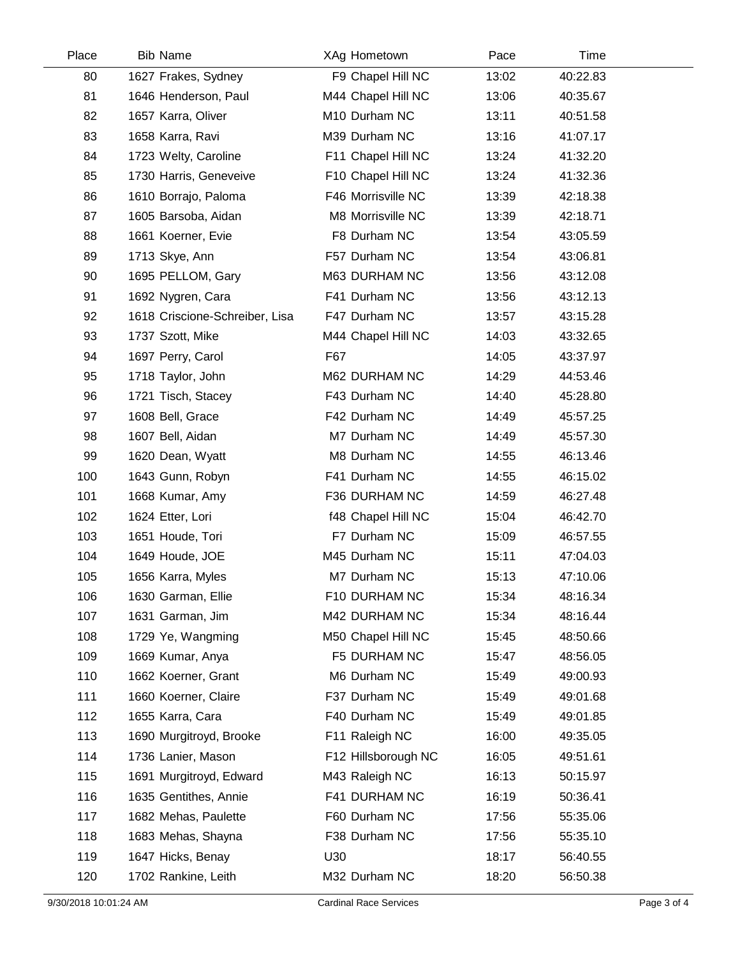| Place | <b>Bib Name</b>                | XAg Hometown        | Pace  | Time     |  |
|-------|--------------------------------|---------------------|-------|----------|--|
| 80    | 1627 Frakes, Sydney            | F9 Chapel Hill NC   | 13:02 | 40:22.83 |  |
| 81    | 1646 Henderson, Paul           | M44 Chapel Hill NC  | 13:06 | 40:35.67 |  |
| 82    | 1657 Karra, Oliver             | M10 Durham NC       | 13:11 | 40:51.58 |  |
| 83    | 1658 Karra, Ravi               | M39 Durham NC       | 13:16 | 41:07.17 |  |
| 84    | 1723 Welty, Caroline           | F11 Chapel Hill NC  | 13:24 | 41:32.20 |  |
| 85    | 1730 Harris, Geneveive         | F10 Chapel Hill NC  | 13:24 | 41:32.36 |  |
| 86    | 1610 Borrajo, Paloma           | F46 Morrisville NC  | 13:39 | 42:18.38 |  |
| 87    | 1605 Barsoba, Aidan            | M8 Morrisville NC   | 13:39 | 42:18.71 |  |
| 88    | 1661 Koerner, Evie             | F8 Durham NC        | 13:54 | 43:05.59 |  |
| 89    | 1713 Skye, Ann                 | F57 Durham NC       | 13:54 | 43:06.81 |  |
| 90    | 1695 PELLOM, Gary              | M63 DURHAM NC       | 13:56 | 43:12.08 |  |
| 91    | 1692 Nygren, Cara              | F41 Durham NC       | 13:56 | 43:12.13 |  |
| 92    | 1618 Criscione-Schreiber, Lisa | F47 Durham NC       | 13:57 | 43:15.28 |  |
| 93    | 1737 Szott, Mike               | M44 Chapel Hill NC  | 14:03 | 43:32.65 |  |
| 94    | 1697 Perry, Carol              | F67                 | 14:05 | 43:37.97 |  |
| 95    | 1718 Taylor, John              | M62 DURHAM NC       | 14:29 | 44:53.46 |  |
| 96    | 1721 Tisch, Stacey             | F43 Durham NC       | 14:40 | 45:28.80 |  |
| 97    | 1608 Bell, Grace               | F42 Durham NC       | 14:49 | 45:57.25 |  |
| 98    | 1607 Bell, Aidan               | M7 Durham NC        | 14:49 | 45:57.30 |  |
| 99    | 1620 Dean, Wyatt               | M8 Durham NC        | 14:55 | 46:13.46 |  |
| 100   | 1643 Gunn, Robyn               | F41 Durham NC       | 14:55 | 46:15.02 |  |
| 101   | 1668 Kumar, Amy                | F36 DURHAM NC       | 14:59 | 46:27.48 |  |
| 102   | 1624 Etter, Lori               | f48 Chapel Hill NC  | 15:04 | 46:42.70 |  |
| 103   | 1651 Houde, Tori               | F7 Durham NC        | 15:09 | 46:57.55 |  |
| 104   | 1649 Houde, JOE                | M45 Durham NC       | 15:11 | 47:04.03 |  |
| 105   | 1656 Karra, Myles              | M7 Durham NC        | 15:13 | 47:10.06 |  |
| 106   | 1630 Garman, Ellie             | F10 DURHAM NC       | 15:34 | 48:16.34 |  |
| 107   | 1631 Garman, Jim               | M42 DURHAM NC       | 15:34 | 48:16.44 |  |
| 108   | 1729 Ye, Wangming              | M50 Chapel Hill NC  | 15:45 | 48:50.66 |  |
| 109   | 1669 Kumar, Anya               | F5 DURHAM NC        | 15:47 | 48:56.05 |  |
| 110   | 1662 Koerner, Grant            | M6 Durham NC        | 15:49 | 49:00.93 |  |
| 111   | 1660 Koerner, Claire           | F37 Durham NC       | 15:49 | 49:01.68 |  |
| 112   | 1655 Karra, Cara               | F40 Durham NC       | 15:49 | 49:01.85 |  |
| 113   | 1690 Murgitroyd, Brooke        | F11 Raleigh NC      | 16:00 | 49:35.05 |  |
| 114   | 1736 Lanier, Mason             | F12 Hillsborough NC | 16:05 | 49:51.61 |  |
| 115   | 1691 Murgitroyd, Edward        | M43 Raleigh NC      | 16:13 | 50:15.97 |  |
| 116   | 1635 Gentithes, Annie          | F41 DURHAM NC       | 16:19 | 50:36.41 |  |
| 117   | 1682 Mehas, Paulette           | F60 Durham NC       | 17:56 | 55:35.06 |  |
| 118   | 1683 Mehas, Shayna             | F38 Durham NC       | 17:56 | 55:35.10 |  |
| 119   | 1647 Hicks, Benay              | U30                 | 18:17 | 56:40.55 |  |
| 120   | 1702 Rankine, Leith            | M32 Durham NC       | 18:20 | 56:50.38 |  |